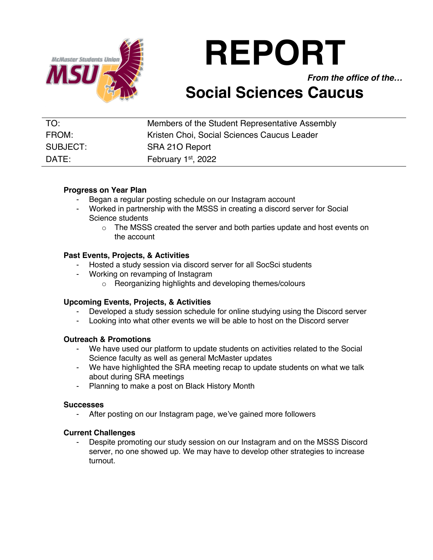

# **REPORT**

*From the office of the…*

# **Social Sciences Caucus**

| TO:      | Members of the Student Representative Assembly |
|----------|------------------------------------------------|
| FROM:    | Kristen Choi, Social Sciences Caucus Leader    |
| SUBJECT: | SRA 210 Report                                 |
| DATE:    | February 1st, 2022                             |

## **Progress on Year Plan**

- Began a regular posting schedule on our Instagram account
- Worked in partnership with the MSSS in creating a discord server for Social Science students
	- $\circ$  The MSSS created the server and both parties update and host events on the account

## **Past Events, Projects, & Activities**

- Hosted a study session via discord server for all SocSci students
- Working on revamping of Instagram
	- o Reorganizing highlights and developing themes/colours

# **Upcoming Events, Projects, & Activities**

- Developed a study session schedule for online studying using the Discord server
- Looking into what other events we will be able to host on the Discord server

#### **Outreach & Promotions**

- We have used our platform to update students on activities related to the Social Science faculty as well as general McMaster updates
- We have highlighted the SRA meeting recap to update students on what we talk about during SRA meetings
- Planning to make a post on Black History Month

#### **Successes**

After posting on our Instagram page, we've gained more followers

#### **Current Challenges**

Despite promoting our study session on our Instagram and on the MSSS Discord server, no one showed up. We may have to develop other strategies to increase turnout.